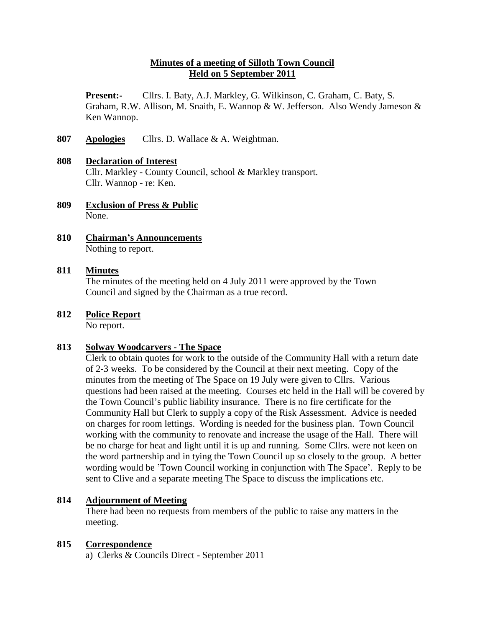# **Minutes of a meeting of Silloth Town Council Held on 5 September 2011**

**Present:-** Cllrs. I. Baty, A.J. Markley, G. Wilkinson, C. Graham, C. Baty, S. Graham, R.W. Allison, M. Snaith, E. Wannop & W. Jefferson. Also Wendy Jameson & Ken Wannop.

**807 Apologies** Cllrs. D. Wallace & A. Weightman.

# **808 Declaration of Interest**  Cllr. Markley - County Council, school & Markley transport. Cllr. Wannop - re: Ken.

- **809 Exclusion of Press & Public** None.
- **810 Chairman's Announcements** Nothing to report.

# **811 Minutes**

The minutes of the meeting held on 4 July 2011 were approved by the Town Council and signed by the Chairman as a true record.

# **812 Police Report**

No report.

# **813 Solway Woodcarvers - The Space**

Clerk to obtain quotes for work to the outside of the Community Hall with a return date of 2-3 weeks. To be considered by the Council at their next meeting. Copy of the minutes from the meeting of The Space on 19 July were given to Cllrs. Various questions had been raised at the meeting. Courses etc held in the Hall will be covered by the Town Council's public liability insurance. There is no fire certificate for the Community Hall but Clerk to supply a copy of the Risk Assessment. Advice is needed on charges for room lettings. Wording is needed for the business plan. Town Council working with the community to renovate and increase the usage of the Hall. There will be no charge for heat and light until it is up and running. Some Cllrs. were not keen on the word partnership and in tying the Town Council up so closely to the group. A better wording would be 'Town Council working in conjunction with The Space'. Reply to be sent to Clive and a separate meeting The Space to discuss the implications etc.

## **814 Adjournment of Meeting**

There had been no requests from members of the public to raise any matters in the meeting.

## **815 Correspondence**

a) Clerks & Councils Direct - September 2011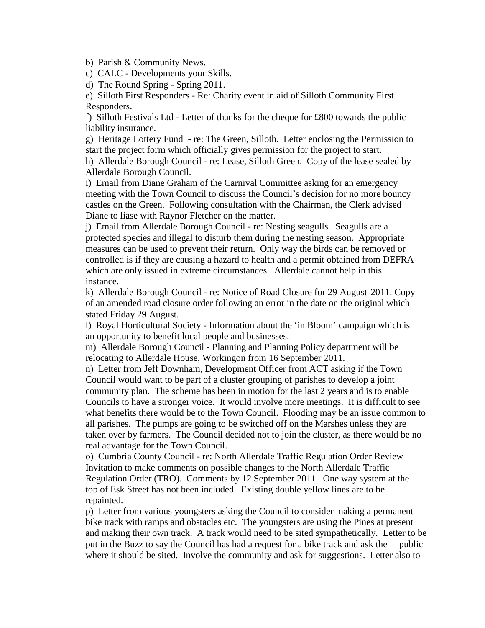b) Parish & Community News.

c) CALC - Developments your Skills.

d) The Round Spring - Spring 2011.

e) Silloth First Responders - Re: Charity event in aid of Silloth Community First Responders.

f) Silloth Festivals Ltd - Letter of thanks for the cheque for £800 towards the public liability insurance.

g) Heritage Lottery Fund - re: The Green, Silloth. Letter enclosing the Permission to start the project form which officially gives permission for the project to start.

h) Allerdale Borough Council - re: Lease, Silloth Green. Copy of the lease sealed by Allerdale Borough Council.

i) Email from Diane Graham of the Carnival Committee asking for an emergency meeting with the Town Council to discuss the Council's decision for no more bouncy castles on the Green. Following consultation with the Chairman, the Clerk advised Diane to liase with Raynor Fletcher on the matter.

j) Email from Allerdale Borough Council - re: Nesting seagulls. Seagulls are a protected species and illegal to disturb them during the nesting season. Appropriate measures can be used to prevent their return. Only way the birds can be removed or controlled is if they are causing a hazard to health and a permit obtained from DEFRA which are only issued in extreme circumstances. Allerdale cannot help in this instance.

k) Allerdale Borough Council - re: Notice of Road Closure for 29 August 2011. Copy of an amended road closure order following an error in the date on the original which stated Friday 29 August.

l) Royal Horticultural Society - Information about the 'in Bloom' campaign which is an opportunity to benefit local people and businesses.

m) Allerdale Borough Council - Planning and Planning Policy department will be relocating to Allerdale House, Workingon from 16 September 2011.

n) Letter from Jeff Downham, Development Officer from ACT asking if the Town Council would want to be part of a cluster grouping of parishes to develop a joint community plan. The scheme has been in motion for the last 2 years and is to enable Councils to have a stronger voice. It would involve more meetings. It is difficult to see what benefits there would be to the Town Council. Flooding may be an issue common to all parishes. The pumps are going to be switched off on the Marshes unless they are taken over by farmers. The Council decided not to join the cluster, as there would be no real advantage for the Town Council.

o) Cumbria County Council - re: North Allerdale Traffic Regulation Order Review Invitation to make comments on possible changes to the North Allerdale Traffic Regulation Order (TRO). Comments by 12 September 2011. One way system at the top of Esk Street has not been included. Existing double yellow lines are to be repainted.

p) Letter from various youngsters asking the Council to consider making a permanent bike track with ramps and obstacles etc. The youngsters are using the Pines at present and making their own track. A track would need to be sited sympathetically. Letter to be put in the Buzz to say the Council has had a request for a bike track and ask the public where it should be sited. Involve the community and ask for suggestions. Letter also to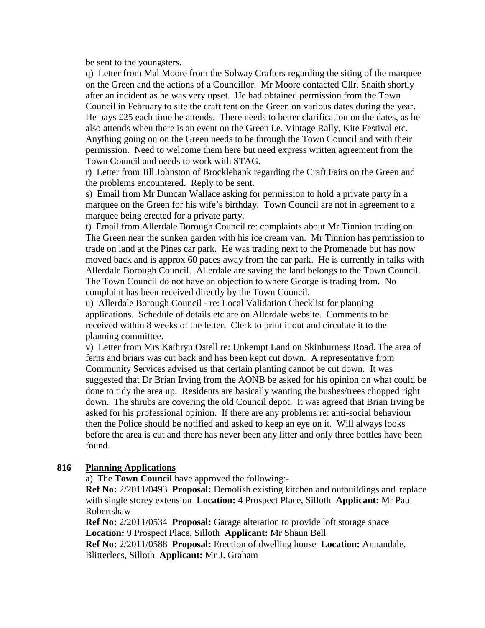be sent to the youngsters.

q) Letter from Mal Moore from the Solway Crafters regarding the siting of the marquee on the Green and the actions of a Councillor. Mr Moore contacted Cllr. Snaith shortly after an incident as he was very upset. He had obtained permission from the Town Council in February to site the craft tent on the Green on various dates during the year. He pays £25 each time he attends. There needs to better clarification on the dates, as he also attends when there is an event on the Green i.e. Vintage Rally, Kite Festival etc. Anything going on on the Green needs to be through the Town Council and with their permission. Need to welcome them here but need express written agreement from the Town Council and needs to work with STAG.

r) Letter from Jill Johnston of Brocklebank regarding the Craft Fairs on the Green and the problems encountered. Reply to be sent.

s) Email from Mr Duncan Wallace asking for permission to hold a private party in a marquee on the Green for his wife's birthday. Town Council are not in agreement to a marquee being erected for a private party.

t) Email from Allerdale Borough Council re: complaints about Mr Tinnion trading on The Green near the sunken garden with his ice cream van. Mr Tinnion has permission to trade on land at the Pines car park. He was trading next to the Promenade but has now moved back and is approx 60 paces away from the car park. He is currently in talks with Allerdale Borough Council. Allerdale are saying the land belongs to the Town Council. The Town Council do not have an objection to where George is trading from. No complaint has been received directly by the Town Council.

u) Allerdale Borough Council - re: Local Validation Checklist for planning applications. Schedule of details etc are on Allerdale website. Comments to be received within 8 weeks of the letter. Clerk to print it out and circulate it to the planning committee.

v) Letter from Mrs Kathryn Ostell re: Unkempt Land on Skinburness Road. The area of ferns and briars was cut back and has been kept cut down. A representative from Community Services advised us that certain planting cannot be cut down. It was suggested that Dr Brian Irving from the AONB be asked for his opinion on what could be done to tidy the area up. Residents are basically wanting the bushes/trees chopped right down. The shrubs are covering the old Council depot. It was agreed that Brian Irving be asked for his professional opinion. If there are any problems re: anti-social behaviour then the Police should be notified and asked to keep an eye on it. Will always looks before the area is cut and there has never been any litter and only three bottles have been found.

# **816 Planning Applications**

a) The **Town Council** have approved the following:-

**Ref No:** 2/2011/0493 **Proposal:** Demolish existing kitchen and outbuildings and replace with single storey extension **Location:** 4 Prospect Place, Silloth **Applicant:** Mr Paul Robertshaw

**Ref No:** 2/2011/0534 **Proposal:** Garage alteration to provide loft storage space **Location:** 9 Prospect Place, Silloth **Applicant:** Mr Shaun Bell

**Ref No:** 2/2011/0588 **Proposal:** Erection of dwelling house **Location:** Annandale, Blitterlees, Silloth **Applicant:** Mr J. Graham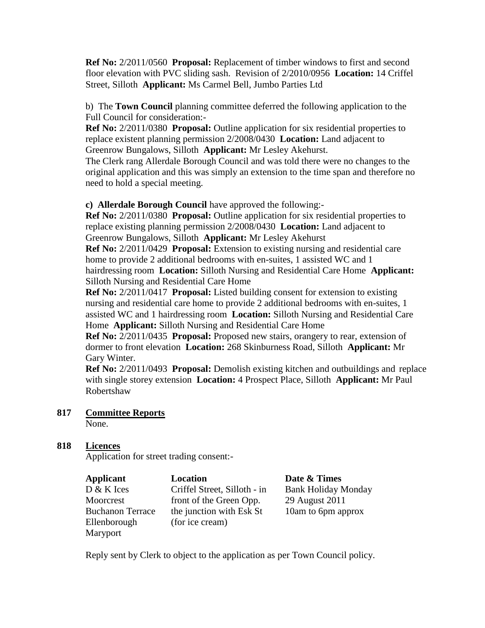**Ref No:** 2/2011/0560 **Proposal:** Replacement of timber windows to first and second floor elevation with PVC sliding sash. Revision of 2/2010/0956 **Location:** 14 Criffel Street, Silloth **Applicant:** Ms Carmel Bell, Jumbo Parties Ltd

b) The **Town Council** planning committee deferred the following application to the Full Council for consideration:-

**Ref No:** 2/2011/0380 **Proposal:** Outline application for six residential properties to replace existent planning permission 2/2008/0430 **Location:** Land adjacent to Greenrow Bungalows, Silloth **Applicant:** Mr Lesley Akehurst.

The Clerk rang Allerdale Borough Council and was told there were no changes to the original application and this was simply an extension to the time span and therefore no need to hold a special meeting.

**c) Allerdale Borough Council** have approved the following:-

**Ref No:** 2/2011/0380 **Proposal:** Outline application for six residential properties to replace existing planning permission 2/2008/0430 **Location:** Land adjacent to Greenrow Bungalows, Silloth **Applicant:** Mr Lesley Akehurst **Ref No:** 2/2011/0429 **Proposal:** Extension to existing nursing and residential care

home to provide 2 additional bedrooms with en-suites, 1 assisted WC and 1 hairdressing room **Location:** Silloth Nursing and Residential Care Home **Applicant:**  Silloth Nursing and Residential Care Home

**Ref No:** 2/2011/0417 **Proposal:** Listed building consent for extension to existing nursing and residential care home to provide 2 additional bedrooms with en-suites, 1 assisted WC and 1 hairdressing room **Location:** Silloth Nursing and Residential Care Home **Applicant:** Silloth Nursing and Residential Care Home

**Ref No:** 2/2011/0435 **Proposal:** Proposed new stairs, orangery to rear, extension of dormer to front elevation **Location:** 268 Skinburness Road, Silloth **Applicant:** Mr Gary Winter.

**Ref No:** 2/2011/0493 **Proposal:** Demolish existing kitchen and outbuildings and replace with single storey extension **Location:** 4 Prospect Place, Silloth **Applicant:** Mr Paul Robertshaw

# **817 Committee Reports**

None.

# **818 Licences**

Application for street trading consent:-

| Applicant               | Location                     | Date & Times               |
|-------------------------|------------------------------|----------------------------|
| D & K Ices              | Criffel Street, Silloth - in | <b>Bank Holiday Monday</b> |
| Moorcrest               | front of the Green Opp.      | 29 August 2011             |
| <b>Buchanon Terrace</b> | the junction with Esk St     | 10am to 6pm approx         |
| Ellenborough            | (for ice cream)              |                            |
| Maryport                |                              |                            |

Reply sent by Clerk to object to the application as per Town Council policy.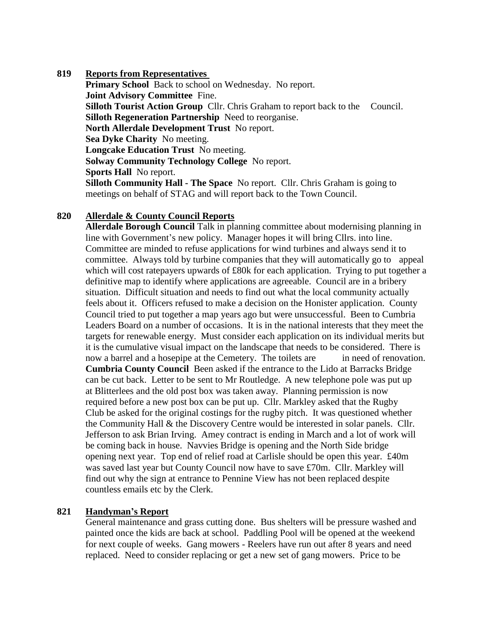## **819 Reports from Representatives**

**Primary School** Back to school on Wednesday. No report. **Joint Advisory Committee** Fine. **Silloth Tourist Action Group** Cllr. Chris Graham to report back to the Council. **Silloth Regeneration Partnership** Need to reorganise. **North Allerdale Development Trust** No report. **Sea Dyke Charity** No meeting. **Longcake Education Trust** No meeting. **Solway Community Technology College** No report. **Sports Hall** No report. **Silloth Community Hall - The Space** No report. Cllr. Chris Graham is going to meetings on behalf of STAG and will report back to the Town Council.

# **820 Allerdale & County Council Reports**

**Allerdale Borough Council** Talk in planning committee about modernising planning in line with Government's new policy. Manager hopes it will bring Cllrs. into line. Committee are minded to refuse applications for wind turbines and always send it to committee. Always told by turbine companies that they will automatically go to appeal which will cost ratepayers upwards of £80k for each application. Trying to put together a definitive map to identify where applications are agreeable. Council are in a bribery situation. Difficult situation and needs to find out what the local community actually feels about it. Officers refused to make a decision on the Honister application. County Council tried to put together a map years ago but were unsuccessful. Been to Cumbria Leaders Board on a number of occasions. It is in the national interests that they meet the targets for renewable energy. Must consider each application on its individual merits but it is the cumulative visual impact on the landscape that needs to be considered. There is now a barrel and a hosepipe at the Cemetery. The toilets are in need of renovation. **Cumbria County Council** Been asked if the entrance to the Lido at Barracks Bridge can be cut back. Letter to be sent to Mr Routledge. A new telephone pole was put up at Blitterlees and the old post box was taken away. Planning permission is now required before a new post box can be put up. Cllr. Markley asked that the Rugby Club be asked for the original costings for the rugby pitch. It was questioned whether the Community Hall & the Discovery Centre would be interested in solar panels. Cllr. Jefferson to ask Brian Irving. Amey contract is ending in March and a lot of work will be coming back in house. Navvies Bridge is opening and the North Side bridge opening next year. Top end of relief road at Carlisle should be open this year. £40m was saved last year but County Council now have to save £70m. Cllr. Markley will find out why the sign at entrance to Pennine View has not been replaced despite countless emails etc by the Clerk.

## **821 Handyman's Report**

General maintenance and grass cutting done. Bus shelters will be pressure washed and painted once the kids are back at school. Paddling Pool will be opened at the weekend for next couple of weeks. Gang mowers - Reelers have run out after 8 years and need replaced. Need to consider replacing or get a new set of gang mowers. Price to be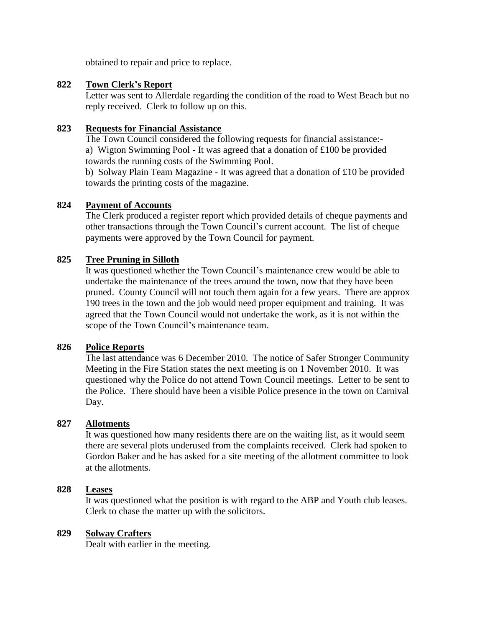obtained to repair and price to replace.

# **822 Town Clerk's Report**

Letter was sent to Allerdale regarding the condition of the road to West Beach but no reply received. Clerk to follow up on this.

## **823 Requests for Financial Assistance**

The Town Council considered the following requests for financial assistance: a) Wigton Swimming Pool - It was agreed that a donation of £100 be provided towards the running costs of the Swimming Pool.

b) Solway Plain Team Magazine - It was agreed that a donation of £10 be provided towards the printing costs of the magazine.

# **824 Payment of Accounts**

The Clerk produced a register report which provided details of cheque payments and other transactions through the Town Council's current account. The list of cheque payments were approved by the Town Council for payment.

# **825 Tree Pruning in Silloth**

It was questioned whether the Town Council's maintenance crew would be able to undertake the maintenance of the trees around the town, now that they have been pruned. County Council will not touch them again for a few years. There are approx 190 trees in the town and the job would need proper equipment and training. It was agreed that the Town Council would not undertake the work, as it is not within the scope of the Town Council's maintenance team.

## **826 Police Reports**

The last attendance was 6 December 2010. The notice of Safer Stronger Community Meeting in the Fire Station states the next meeting is on 1 November 2010. It was questioned why the Police do not attend Town Council meetings. Letter to be sent to the Police. There should have been a visible Police presence in the town on Carnival Day.

## **827 Allotments**

It was questioned how many residents there are on the waiting list, as it would seem there are several plots underused from the complaints received. Clerk had spoken to Gordon Baker and he has asked for a site meeting of the allotment committee to look at the allotments.

# **828 Leases**

It was questioned what the position is with regard to the ABP and Youth club leases. Clerk to chase the matter up with the solicitors.

## **829 Solway Crafters**

Dealt with earlier in the meeting.